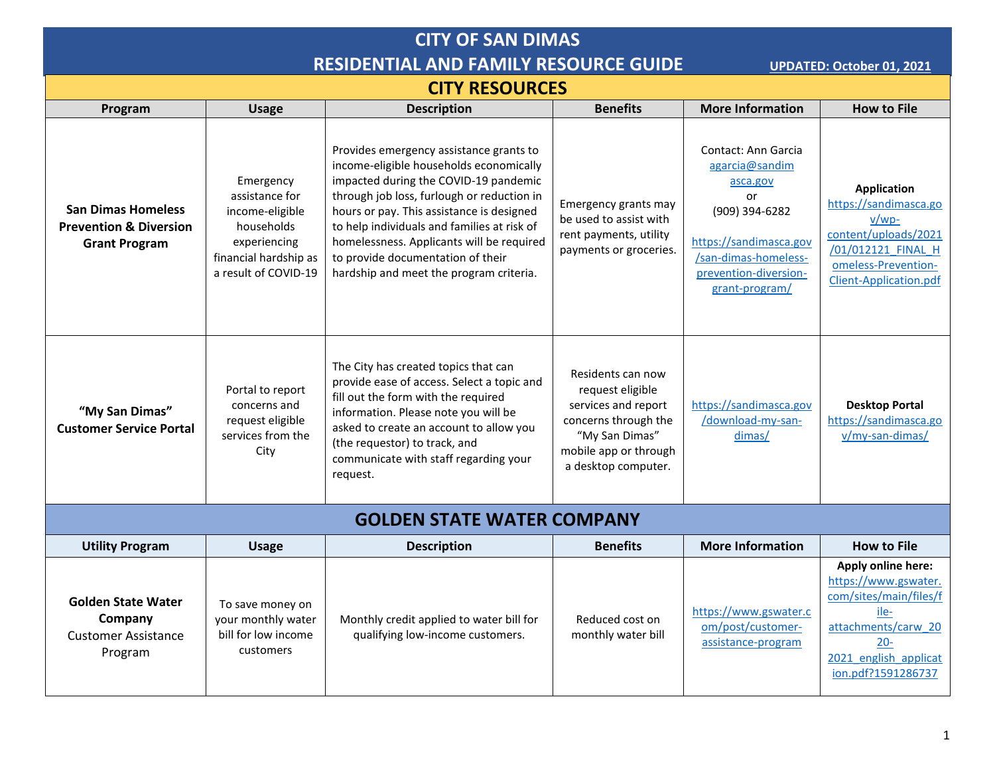# **CITY OF SAN DIMAS RESIDENTIAL AND FAMILY RESOURCE GUIDE UPDATED: October 01, 2021**

## **CITY RESOURCES**

|                                                                                        |                                                                                                                               |                                                                                                                                                                                                                                                                                                                                                                                                    | <b>Benefits</b>                                                                                                                                        | <b>More Information</b>                                                                                                                                                | <b>How to File</b>                                                                                                                                           |
|----------------------------------------------------------------------------------------|-------------------------------------------------------------------------------------------------------------------------------|----------------------------------------------------------------------------------------------------------------------------------------------------------------------------------------------------------------------------------------------------------------------------------------------------------------------------------------------------------------------------------------------------|--------------------------------------------------------------------------------------------------------------------------------------------------------|------------------------------------------------------------------------------------------------------------------------------------------------------------------------|--------------------------------------------------------------------------------------------------------------------------------------------------------------|
| Program                                                                                | <b>Usage</b>                                                                                                                  | <b>Description</b>                                                                                                                                                                                                                                                                                                                                                                                 |                                                                                                                                                        |                                                                                                                                                                        |                                                                                                                                                              |
| <b>San Dimas Homeless</b><br><b>Prevention &amp; Diversion</b><br><b>Grant Program</b> | Emergency<br>assistance for<br>income-eligible<br>households<br>experiencing<br>financial hardship as<br>a result of COVID-19 | Provides emergency assistance grants to<br>income-eligible households economically<br>impacted during the COVID-19 pandemic<br>through job loss, furlough or reduction in<br>hours or pay. This assistance is designed<br>to help individuals and families at risk of<br>homelessness. Applicants will be required<br>to provide documentation of their<br>hardship and meet the program criteria. | Emergency grants may<br>be used to assist with<br>rent payments, utility<br>payments or groceries.                                                     | Contact: Ann Garcia<br>agarcia@sandim<br>asca.gov<br>or<br>(909) 394-6282<br>https://sandimasca.gov<br>/san-dimas-homeless-<br>prevention-diversion-<br>grant-program/ | <b>Application</b><br>https://sandimasca.go<br>$V/WD-$<br>content/uploads/2021<br>/01/012121 FINAL H<br>omeless-Prevention-<br>Client-Application.pdf        |
| "My San Dimas"<br><b>Customer Service Portal</b>                                       | Portal to report<br>concerns and<br>request eligible<br>services from the<br>City                                             | The City has created topics that can<br>provide ease of access. Select a topic and<br>fill out the form with the required<br>information. Please note you will be<br>asked to create an account to allow you<br>(the requestor) to track, and<br>communicate with staff regarding your<br>request.                                                                                                 | Residents can now<br>request eligible<br>services and report<br>concerns through the<br>"My San Dimas"<br>mobile app or through<br>a desktop computer. | https://sandimasca.gov<br>/download-my-san-<br>dimas/                                                                                                                  | <b>Desktop Portal</b><br>https://sandimasca.go<br>v/my-san-dimas/                                                                                            |
|                                                                                        |                                                                                                                               | <b>GOLDEN STATE WATER COMPANY</b>                                                                                                                                                                                                                                                                                                                                                                  |                                                                                                                                                        |                                                                                                                                                                        |                                                                                                                                                              |
| <b>Utility Program</b>                                                                 | <b>Usage</b>                                                                                                                  | <b>Description</b>                                                                                                                                                                                                                                                                                                                                                                                 | <b>Benefits</b>                                                                                                                                        | <b>More Information</b>                                                                                                                                                | <b>How to File</b>                                                                                                                                           |
| <b>Golden State Water</b><br>Company<br><b>Customer Assistance</b><br>Program          | To save money on<br>your monthly water<br>bill for low income<br>customers                                                    | Monthly credit applied to water bill for<br>qualifying low-income customers.                                                                                                                                                                                                                                                                                                                       | Reduced cost on<br>monthly water bill                                                                                                                  | https://www.gswater.c<br>om/post/customer-<br>assistance-program                                                                                                       | Apply online here:<br>https://www.gswater.<br>com/sites/main/files/f<br>ile-<br>attachments/carw 20<br>$20 -$<br>2021 english applicat<br>ion.pdf?1591286737 |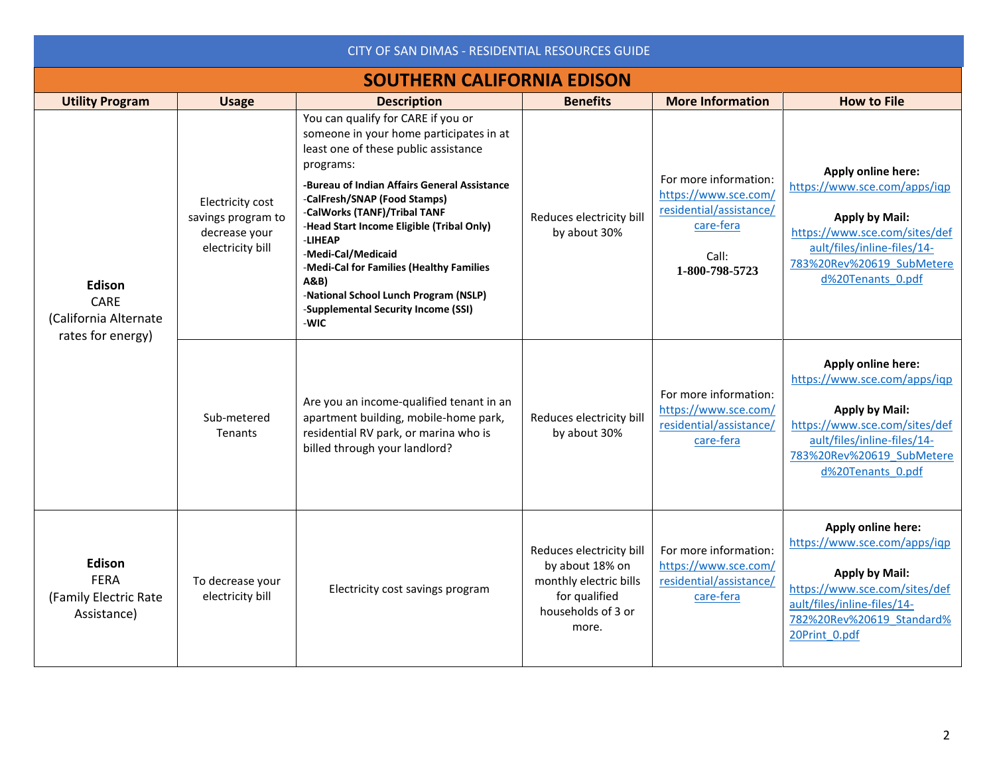| CITY OF SAN DIMAS - RESIDENTIAL RESOURCES GUIDE               |                                                                             |                                                                                                                                                                                                                                                                                                                                                                                                                                                                              |                                                                                                                                                                                               |                                                                                                                  |                                                                                                                                                                                               |  |
|---------------------------------------------------------------|-----------------------------------------------------------------------------|------------------------------------------------------------------------------------------------------------------------------------------------------------------------------------------------------------------------------------------------------------------------------------------------------------------------------------------------------------------------------------------------------------------------------------------------------------------------------|-----------------------------------------------------------------------------------------------------------------------------------------------------------------------------------------------|------------------------------------------------------------------------------------------------------------------|-----------------------------------------------------------------------------------------------------------------------------------------------------------------------------------------------|--|
| <b>SOUTHERN CALIFORNIA EDISON</b>                             |                                                                             |                                                                                                                                                                                                                                                                                                                                                                                                                                                                              |                                                                                                                                                                                               |                                                                                                                  |                                                                                                                                                                                               |  |
| <b>Utility Program</b>                                        | <b>Usage</b>                                                                | <b>Description</b>                                                                                                                                                                                                                                                                                                                                                                                                                                                           | <b>Benefits</b>                                                                                                                                                                               | <b>More Information</b>                                                                                          | <b>How to File</b>                                                                                                                                                                            |  |
| Edison<br>CARE<br>(California Alternate<br>rates for energy)  | Electricity cost<br>savings program to<br>decrease your<br>electricity bill | You can qualify for CARE if you or<br>someone in your home participates in at<br>least one of these public assistance<br>programs:<br>-Bureau of Indian Affairs General Assistance<br>-CalFresh/SNAP (Food Stamps)<br>-CalWorks (TANF)/Tribal TANF<br>-Head Start Income Eligible (Tribal Only)<br>-LIHEAP<br>-Medi-Cal/Medicaid<br>-Medi-Cal for Families (Healthy Families<br>A&B)<br>-National School Lunch Program (NSLP)<br>-Supplemental Security Income (SSI)<br>-WIC | Reduces electricity bill<br>by about 30%                                                                                                                                                      | For more information:<br>https://www.sce.com/<br>residential/assistance/<br>care-fera<br>Call:<br>1-800-798-5723 | Apply online here:<br>https://www.sce.com/apps/igp<br><b>Apply by Mail:</b><br>https://www.sce.com/sites/def<br>ault/files/inline-files/14-<br>783%20Rev%20619 SubMetere<br>d%20Tenants 0.pdf |  |
|                                                               | Sub-metered<br>Tenants                                                      | For more information:<br>Are you an income-qualified tenant in an<br>https://www.sce.com/<br>Reduces electricity bill<br>apartment building, mobile-home park,<br>residential/assistance/<br>residential RV park, or marina who is<br>by about 30%<br>care-fera<br>billed through your landlord?                                                                                                                                                                             | Apply online here:<br>https://www.sce.com/apps/igp<br><b>Apply by Mail:</b><br>https://www.sce.com/sites/def<br>ault/files/inline-files/14-<br>783%20Rev%20619 SubMetere<br>d%20Tenants 0.pdf |                                                                                                                  |                                                                                                                                                                                               |  |
| Edison<br><b>FERA</b><br>(Family Electric Rate<br>Assistance) | To decrease your<br>electricity bill                                        | Electricity cost savings program                                                                                                                                                                                                                                                                                                                                                                                                                                             | Reduces electricity bill<br>by about 18% on<br>monthly electric bills<br>for qualified<br>households of 3 or<br>more.                                                                         | For more information:<br>https://www.sce.com/<br>residential/assistance/<br>care-fera                            | Apply online here:<br>https://www.sce.com/apps/iqp<br><b>Apply by Mail:</b><br>https://www.sce.com/sites/def<br>ault/files/inline-files/14-<br>782%20Rev%20619 Standard%<br>20Print 0.pdf     |  |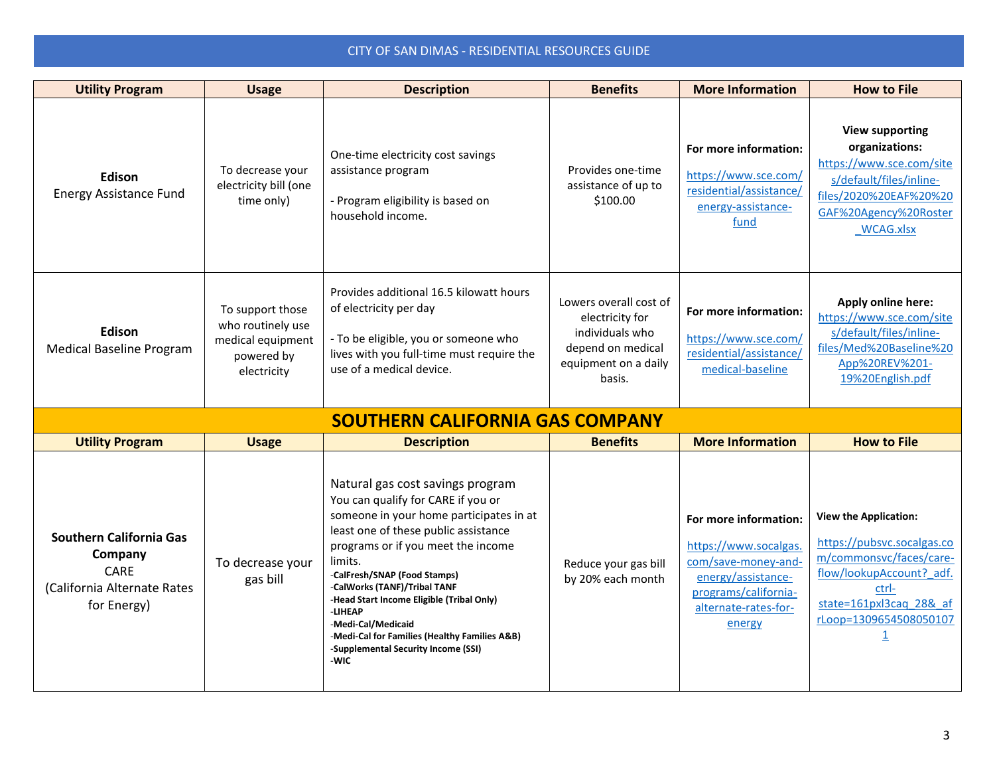| <b>Utility Program</b>                                                                                 | <b>Usage</b>                                                                            | <b>Description</b>                                                                                                                                                                                                                                                                                                                                                                                                                                       | <b>Benefits</b>                                                                                                     | <b>More Information</b>                                                                                                                               | <b>How to File</b>                                                                                                                                                                             |
|--------------------------------------------------------------------------------------------------------|-----------------------------------------------------------------------------------------|----------------------------------------------------------------------------------------------------------------------------------------------------------------------------------------------------------------------------------------------------------------------------------------------------------------------------------------------------------------------------------------------------------------------------------------------------------|---------------------------------------------------------------------------------------------------------------------|-------------------------------------------------------------------------------------------------------------------------------------------------------|------------------------------------------------------------------------------------------------------------------------------------------------------------------------------------------------|
| Edison<br><b>Energy Assistance Fund</b>                                                                | To decrease your<br>electricity bill (one<br>time only)                                 | One-time electricity cost savings<br>assistance program<br>- Program eligibility is based on<br>household income.                                                                                                                                                                                                                                                                                                                                        | Provides one-time<br>assistance of up to<br>\$100.00                                                                | For more information:<br>https://www.sce.com/<br>residential/assistance/<br>energy-assistance-<br>fund                                                | <b>View supporting</b><br>organizations:<br>https://www.sce.com/site<br>s/default/files/inline-<br>files/2020%20EAF%20%20<br>GAF%20Agency%20Roster<br><b>WCAG.xlsx</b>                         |
| Edison<br><b>Medical Baseline Program</b>                                                              | To support those<br>who routinely use<br>medical equipment<br>powered by<br>electricity | Provides additional 16.5 kilowatt hours<br>of electricity per day<br>- To be eligible, you or someone who<br>lives with you full-time must require the<br>use of a medical device.                                                                                                                                                                                                                                                                       | Lowers overall cost of<br>electricity for<br>individuals who<br>depend on medical<br>equipment on a daily<br>basis. | For more information:<br>https://www.sce.com/<br>residential/assistance/<br>medical-baseline                                                          | Apply online here:<br>https://www.sce.com/site<br>s/default/files/inline-<br>files/Med%20Baseline%20<br>App%20REV%201-<br>19%20English.pdf                                                     |
|                                                                                                        |                                                                                         | <b>SOUTHERN CALIFORNIA GAS COMPANY</b>                                                                                                                                                                                                                                                                                                                                                                                                                   |                                                                                                                     |                                                                                                                                                       |                                                                                                                                                                                                |
| <b>Utility Program</b>                                                                                 | <b>Usage</b>                                                                            | <b>Description</b>                                                                                                                                                                                                                                                                                                                                                                                                                                       | <b>Benefits</b>                                                                                                     | <b>More Information</b>                                                                                                                               | <b>How to File</b>                                                                                                                                                                             |
| <b>Southern California Gas</b><br>Company<br><b>CARE</b><br>(California Alternate Rates<br>for Energy) | To decrease your<br>gas bill                                                            | Natural gas cost savings program<br>You can qualify for CARE if you or<br>someone in your home participates in at<br>least one of these public assistance<br>programs or if you meet the income<br>limits.<br>-CalFresh/SNAP (Food Stamps)<br>-CalWorks (TANF)/Tribal TANF<br>-Head Start Income Eligible (Tribal Only)<br>-LIHEAP<br>-Medi-Cal/Medicaid<br>-Medi-Cal for Families (Healthy Families A&B)<br>-Supplemental Security Income (SSI)<br>-WIC | Reduce your gas bill<br>by 20% each month                                                                           | For more information:<br>https://www.socalgas.<br>com/save-money-and-<br>energy/assistance-<br>programs/california-<br>alternate-rates-for-<br>energy | <b>View the Application:</b><br>https://pubsvc.socalgas.co<br>m/commonsvc/faces/care-<br>flow/lookupAccount? adf.<br>ctrl-<br>state=161pxl3cag_28&_af<br>rLoop=1309654508050107<br>$\mathbf 1$ |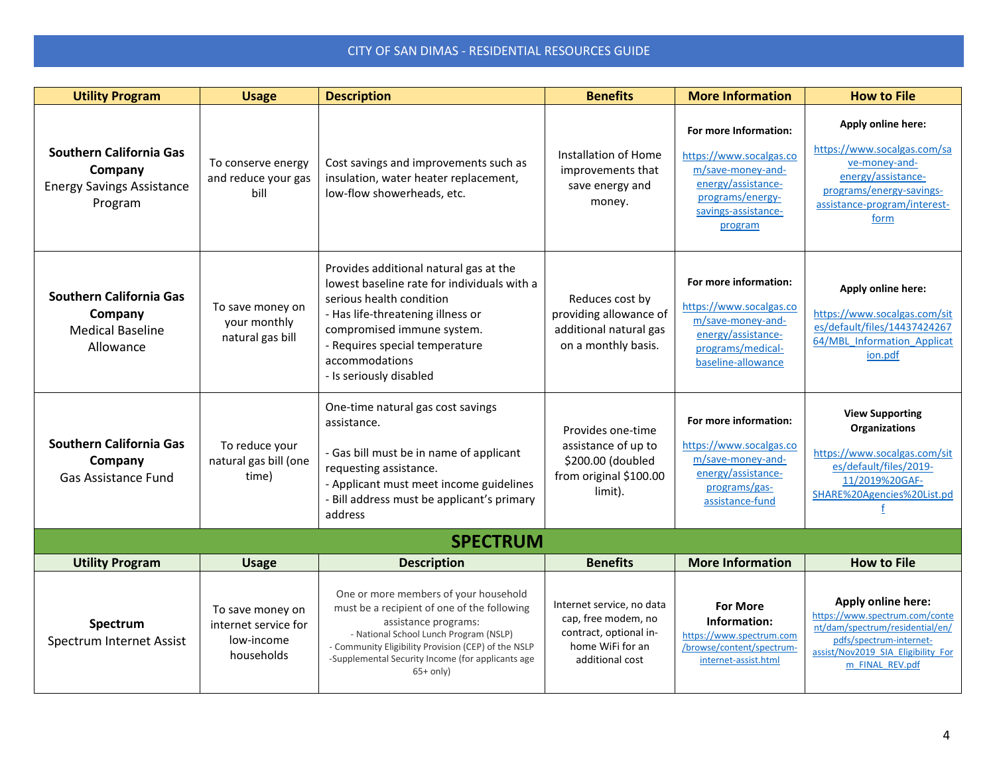| <b>Utility Program</b>                                                                   | <b>Usage</b>                                                         | <b>Description</b>                                                                                                                                                                                                                                                                | <b>Benefits</b>                                                                                                   | <b>More Information</b>                                                                                                                           | <b>How to File</b>                                                                                                                                                          |
|------------------------------------------------------------------------------------------|----------------------------------------------------------------------|-----------------------------------------------------------------------------------------------------------------------------------------------------------------------------------------------------------------------------------------------------------------------------------|-------------------------------------------------------------------------------------------------------------------|---------------------------------------------------------------------------------------------------------------------------------------------------|-----------------------------------------------------------------------------------------------------------------------------------------------------------------------------|
| <b>Southern California Gas</b><br>Company<br><b>Energy Savings Assistance</b><br>Program | To conserve energy<br>and reduce your gas<br>bill                    | Cost savings and improvements such as<br>insulation, water heater replacement,<br>low-flow showerheads, etc.                                                                                                                                                                      | Installation of Home<br>improvements that<br>save energy and<br>money.                                            | For more Information:<br>https://www.socalgas.co<br>m/save-money-and-<br>energy/assistance-<br>programs/energy-<br>savings-assistance-<br>program | Apply online here:<br>https://www.socalgas.com/sa<br>ve-money-and-<br>energy/assistance-<br>programs/energy-savings-<br>assistance-program/interest-<br>form                |
| Southern California Gas<br>Company<br><b>Medical Baseline</b><br>Allowance               | To save money on<br>your monthly<br>natural gas bill                 | Provides additional natural gas at the<br>lowest baseline rate for individuals with a<br>serious health condition<br>- Has life-threatening illness or<br>compromised immune system.<br>- Requires special temperature<br>accommodations<br>- Is seriously disabled               | Reduces cost by<br>providing allowance of<br>additional natural gas<br>on a monthly basis.                        | For more information:<br>https://www.socalgas.co<br>m/save-money-and-<br>energy/assistance-<br>programs/medical-<br>baseline-allowance            | Apply online here:<br>https://www.socalgas.com/sit<br>es/default/files/14437424267<br>64/MBL Information Applicat<br>ion.pdf                                                |
| <b>Southern California Gas</b><br>Company<br><b>Gas Assistance Fund</b>                  | To reduce your<br>natural gas bill (one<br>time)                     | One-time natural gas cost savings<br>assistance.<br>- Gas bill must be in name of applicant<br>requesting assistance.<br>- Applicant must meet income guidelines<br>Bill address must be applicant's primary<br>address                                                           | Provides one-time<br>assistance of up to<br>\$200.00 (doubled<br>from original \$100.00<br>limit).                | For more information:<br>https://www.socalgas.co<br>m/save-money-and-<br>energy/assistance-<br>programs/gas-<br>assistance-fund                   | <b>View Supporting</b><br><b>Organizations</b><br>https://www.socalgas.com/sit<br>es/default/files/2019-<br>11/2019%20GAF-<br>SHARE%20Agencies%20List.pd                    |
|                                                                                          |                                                                      | <b>SPECTRUM</b>                                                                                                                                                                                                                                                                   |                                                                                                                   |                                                                                                                                                   |                                                                                                                                                                             |
| <b>Utility Program</b>                                                                   | <b>Usage</b>                                                         | <b>Description</b>                                                                                                                                                                                                                                                                | <b>Benefits</b>                                                                                                   | <b>More Information</b>                                                                                                                           | <b>How to File</b>                                                                                                                                                          |
| Spectrum<br>Spectrum Internet Assist                                                     | To save money on<br>internet service for<br>low-income<br>households | One or more members of your household<br>must be a recipient of one of the following<br>assistance programs:<br>- National School Lunch Program (NSLP)<br>- Community Eligibility Provision (CEP) of the NSLP<br>-Supplemental Security Income (for applicants age<br>$65+$ only) | Internet service, no data<br>cap, free modem, no<br>contract, optional in-<br>home WiFi for an<br>additional cost | <b>For More</b><br>Information:<br>https://www.spectrum.com<br>/browse/content/spectrum-<br>internet-assist.html                                  | Apply online here:<br>https://www.spectrum.com/conte<br>nt/dam/spectrum/residential/en/<br>pdfs/spectrum-internet-<br>assist/Nov2019_SIA_Eligibility_For<br>m FINAL REV.pdf |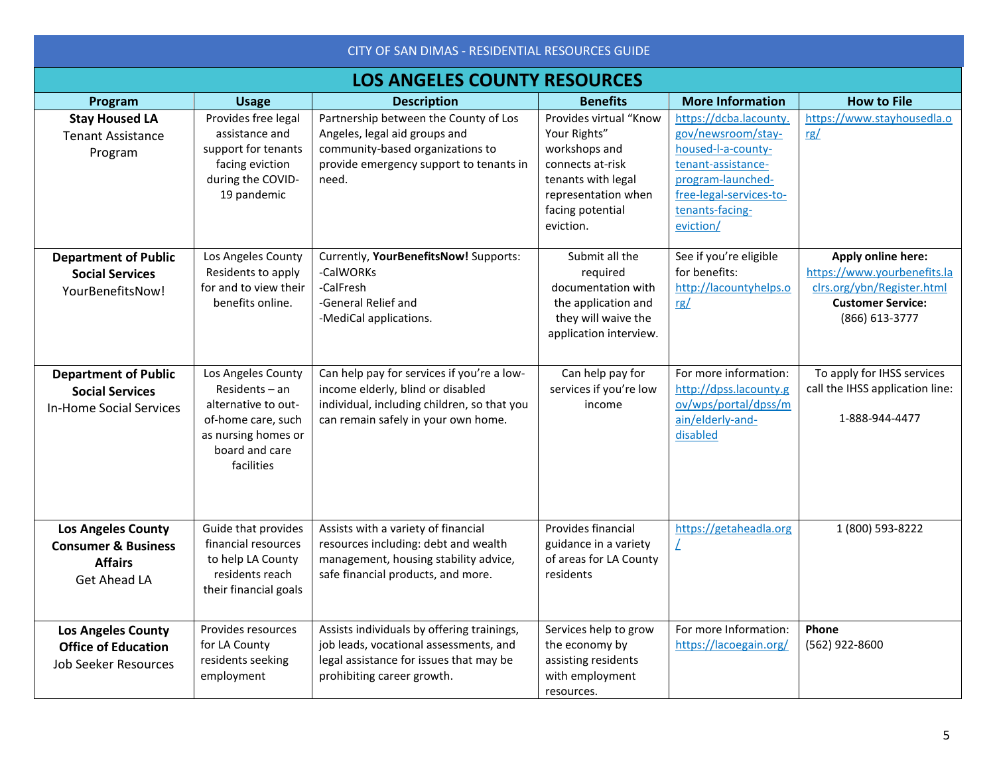| CITY OF SAN DIMAS - RESIDENTIAL RESOURCES GUIDE                                               |                                                                                                                                          |                                                                                                                                                                       |                                                                                                                                                           |                                                                                                                                                                          |                                                                                                                               |
|-----------------------------------------------------------------------------------------------|------------------------------------------------------------------------------------------------------------------------------------------|-----------------------------------------------------------------------------------------------------------------------------------------------------------------------|-----------------------------------------------------------------------------------------------------------------------------------------------------------|--------------------------------------------------------------------------------------------------------------------------------------------------------------------------|-------------------------------------------------------------------------------------------------------------------------------|
| <b>LOS ANGELES COUNTY RESOURCES</b>                                                           |                                                                                                                                          |                                                                                                                                                                       |                                                                                                                                                           |                                                                                                                                                                          |                                                                                                                               |
| Program                                                                                       | <b>Usage</b>                                                                                                                             | <b>Description</b>                                                                                                                                                    | <b>Benefits</b>                                                                                                                                           | <b>More Information</b>                                                                                                                                                  | <b>How to File</b>                                                                                                            |
| <b>Stay Housed LA</b><br><b>Tenant Assistance</b><br>Program                                  | Provides free legal<br>assistance and<br>support for tenants<br>facing eviction<br>during the COVID-<br>19 pandemic                      | Partnership between the County of Los<br>Angeles, legal aid groups and<br>community-based organizations to<br>provide emergency support to tenants in<br>need.        | Provides virtual "Know<br>Your Rights"<br>workshops and<br>connects at-risk<br>tenants with legal<br>representation when<br>facing potential<br>eviction. | https://dcba.lacounty.<br>gov/newsroom/stay-<br>housed-l-a-county-<br>tenant-assistance-<br>program-launched-<br>free-legal-services-to-<br>tenants-facing-<br>eviction/ | https://www.stayhousedla.o<br>rg/                                                                                             |
| <b>Department of Public</b><br><b>Social Services</b><br>YourBenefitsNow!                     | Los Angeles County<br>Residents to apply<br>for and to view their<br>benefits online.                                                    | Currently, YourBenefitsNow! Supports:<br>-CalWORKs<br>-CalFresh<br>-General Relief and<br>-MediCal applications.                                                      | Submit all the<br>required<br>documentation with<br>the application and<br>they will waive the<br>application interview.                                  | See if you're eligible<br>for benefits:<br>http://lacountyhelps.o<br><u>rg/</u>                                                                                          | Apply online here:<br>https://www.yourbenefits.la<br>clrs.org/ybn/Register.html<br><b>Customer Service:</b><br>(866) 613-3777 |
| <b>Department of Public</b><br><b>Social Services</b><br><b>In-Home Social Services</b>       | Los Angeles County<br>Residents - an<br>alternative to out-<br>of-home care, such<br>as nursing homes or<br>board and care<br>facilities | Can help pay for services if you're a low-<br>income elderly, blind or disabled<br>individual, including children, so that you<br>can remain safely in your own home. | Can help pay for<br>services if you're low<br>income                                                                                                      | For more information:<br>http://dpss.lacounty.g<br>ov/wps/portal/dpss/m<br>ain/elderly-and-<br>disabled                                                                  | To apply for IHSS services<br>call the IHSS application line:<br>1-888-944-4477                                               |
| <b>Los Angeles County</b><br><b>Consumer &amp; Business</b><br><b>Affairs</b><br>Get Ahead LA | Guide that provides<br>financial resources<br>to help LA County<br>residents reach<br>their financial goals                              | Assists with a variety of financial<br>resources including: debt and wealth<br>management, housing stability advice,<br>safe financial products, and more.            | Provides financial<br>guidance in a variety<br>of areas for LA County<br>residents                                                                        | https://getaheadla.org<br>Ź                                                                                                                                              | 1 (800) 593-8222                                                                                                              |
| <b>Los Angeles County</b><br><b>Office of Education</b><br><b>Job Seeker Resources</b>        | Provides resources<br>for LA County<br>residents seeking<br>employment                                                                   | Assists individuals by offering trainings,<br>job leads, vocational assessments, and<br>legal assistance for issues that may be<br>prohibiting career growth.         | Services help to grow<br>the economy by<br>assisting residents<br>with employment                                                                         | For more Information:<br>https://lacoegain.org/                                                                                                                          | Phone<br>(562) 922-8600                                                                                                       |

resources.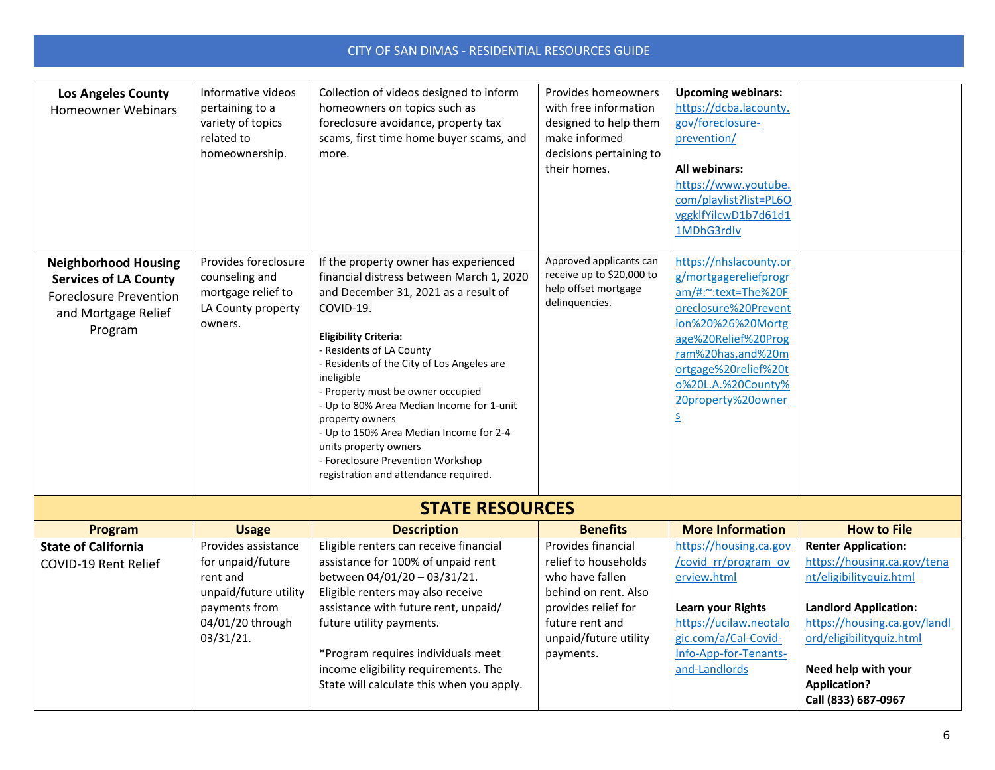| <b>Los Angeles County</b><br><b>Homeowner Webinars</b>                                                                         | Informative videos<br>pertaining to a<br>variety of topics<br>related to<br>homeownership.    | Collection of videos designed to inform<br>homeowners on topics such as<br>foreclosure avoidance, property tax<br>scams, first time home buyer scams, and<br>more.                                                                                                                                                                                                                                                                                                                                                    | Provides homeowners<br>with free information<br>designed to help them<br>make informed<br>decisions pertaining to<br>their homes. | <b>Upcoming webinars:</b><br>https://dcba.lacounty.<br>gov/foreclosure-<br>prevention/<br><b>All webinars:</b><br>https://www.youtube.<br>com/playlist?list=PL6O<br>vggklfYilcwD1b7d61d1<br>1MDhG3rdIv                                                         |
|--------------------------------------------------------------------------------------------------------------------------------|-----------------------------------------------------------------------------------------------|-----------------------------------------------------------------------------------------------------------------------------------------------------------------------------------------------------------------------------------------------------------------------------------------------------------------------------------------------------------------------------------------------------------------------------------------------------------------------------------------------------------------------|-----------------------------------------------------------------------------------------------------------------------------------|----------------------------------------------------------------------------------------------------------------------------------------------------------------------------------------------------------------------------------------------------------------|
| <b>Neighborhood Housing</b><br><b>Services of LA County</b><br><b>Foreclosure Prevention</b><br>and Mortgage Relief<br>Program | Provides foreclosure<br>counseling and<br>mortgage relief to<br>LA County property<br>owners. | If the property owner has experienced<br>financial distress between March 1, 2020<br>and December 31, 2021 as a result of<br>COVID-19.<br><b>Eligibility Criteria:</b><br>- Residents of LA County<br>- Residents of the City of Los Angeles are<br>ineligible<br>- Property must be owner occupied<br>- Up to 80% Area Median Income for 1-unit<br>property owners<br>- Up to 150% Area Median Income for 2-4<br>units property owners<br>- Foreclosure Prevention Workshop<br>registration and attendance required. | Approved applicants can<br>receive up to \$20,000 to<br>help offset mortgage<br>delinquencies.                                    | https://nhslacounty.or<br>g/mortgagereliefprogr<br>am/#:~:text=The%20F<br>oreclosure%20Prevent<br>ion%20%26%20Mortg<br>age%20Relief%20Prog<br>ram%20has,and%20m<br>ortgage%20relief%20t<br>0%20L.A.%20County%<br>20property%20owner<br>$\overline{\mathsf{S}}$ |

### **STATE RESOURCES**

| Program                    | <b>Usage</b>          | <b>Description</b>                        | <b>Benefits</b>       | <b>More Information</b>  | <b>How to File</b>           |
|----------------------------|-----------------------|-------------------------------------------|-----------------------|--------------------------|------------------------------|
| <b>State of California</b> | Provides assistance   | Eligible renters can receive financial    | Provides financial    | https://housing.ca.gov   | <b>Renter Application:</b>   |
| COVID-19 Rent Relief       | for unpaid/future     | assistance for 100% of unpaid rent        | relief to households  | /covid_rr/program_ov     | https://housing.ca.gov/tena  |
|                            | rent and              | between 04/01/20 - 03/31/21.              | who have fallen       | erview.html              | nt/eligibilityquiz.html      |
|                            | unpaid/future utility | Eligible renters may also receive         | behind on rent. Also  |                          |                              |
|                            | payments from         | assistance with future rent, unpaid/      | provides relief for   | <b>Learn your Rights</b> | <b>Landlord Application:</b> |
|                            | 04/01/20 through      | future utility payments.                  | future rent and       | https://ucilaw.neotalo   | https://housing.ca.gov/landl |
|                            | 03/31/21.             |                                           | unpaid/future utility | gic.com/a/Cal-Covid-     | ord/eligibilityquiz.html     |
|                            |                       | *Program requires individuals meet        | payments.             | Info-App-for-Tenants-    |                              |
|                            |                       | income eligibility requirements. The      |                       | and-Landlords            | Need help with your          |
|                            |                       | State will calculate this when you apply. |                       |                          | <b>Application?</b>          |
|                            |                       |                                           |                       |                          | Call (833) 687-0967          |